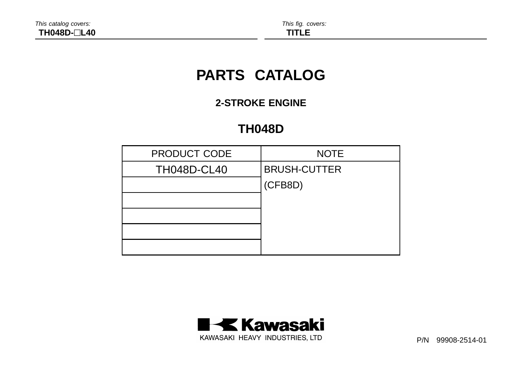# **PARTS CATALOG**

# **2-STROKE ENGINE**

# **TH048D**

| <b>PRODUCT CODE</b> | <b>NOTE</b>         |
|---------------------|---------------------|
| <b>TH048D-CL40</b>  | <b>BRUSH-CUTTER</b> |
|                     | (CFB8D)             |
|                     |                     |
|                     |                     |
|                     |                     |
|                     |                     |



P/N 99908-2514-01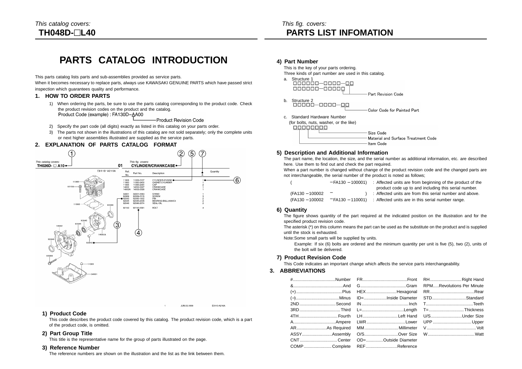# **PARTS CATALOG INTRODUCTION**

This parts catalog lists parts and sub-assemblies provided as service parts.

When it becomes necessary to replace parts, always use KAWASAKI GENUINE PARTS which have passed strict inspection which guarantees quality and performance.

### **1. HOW TO ORDER PARTS**

1) When ordering the parts, be sure to use the parts catalog corresponding to the product code. Check the product revision codes on the product and the catalog. Product Code (example): FA130D-AA00

-Product Revision Code

- 2) Specify the part code (all digits) exactly as listed in this catalog on your parts order.
- 3) The parts not shown in the illustrations of this catalog are not sold separately; only the complete units or next higher assemblies illustrated are supplied as the service parts.

### **2. EXPLANATION OF PARTS CATALOG FORMAT**



### **1) Product Code**

This code describes the product code covered by this catalog. The product revision code, which is a part of the product code, is omitted.

JUN.03.1999

E0110-A216A

### **2) Part Group Title**

This title is the representative name for the group of parts illustrated on the page.

### **3) Reference Number**

The reference numbers are shown on the illustration and the list as the link between them.

### **4) Part Number**

This is the key of your parts ordering. Three kinds of part number are used in this catalog.

a. Structure 1  $000000 - 00000$ Part Revision Code



- 
- c. Standard Hardware Number

(for bolts, nuts, washer, or the like)

Size Code Material and Surface Treatment Code Item Code

### **5) Description and Additional Information**

The part name, the location, the size, and the serial number as additional information, etc. are described here. Use them to find out and check the part required.

When a part number is changed without change of the product revision code and the changed parts are not interchangeable, the serial number of the product is noted as follows;

|                 |     | $-$ FA130 – 100001) : Affected units are from beginning of the product of the |
|-----------------|-----|-------------------------------------------------------------------------------|
|                 |     | product code up to and including this serial number.                          |
| (FA130 - 100002 | $-$ | : Affected units are from this serial number and above.                       |
| (FA130 - 100002 |     | $-$ FA130 – 110001) : Affected units are in this serial number range.         |

### **6) Quantity**

The figure shows quantity of the part required at the indicated position on the illustration and for the specified product revision code.

The asterisk (\*) on this column means the part can be used as the substitute on the product and is supplied until the stock is exhausted.

Note:Some small parts will be supplied by units.

Example: If six (6) bolts are ordered and the minimum quantity per unit is five (5), two (2), units of the bolt will be delivered.

### **7) Product Revision Code**

This Code indicates an important change which affects the service parts interchangeability.

### **3. ABBREVIATIONS**

|  | 3RDThird L=Length T=Thickness        |  |
|--|--------------------------------------|--|
|  | 4TH Fourth LHLeft Hand U/SUnder Size |  |
|  |                                      |  |
|  |                                      |  |
|  |                                      |  |
|  | CNTCenter OD=Outside Diameter        |  |
|  | COMPComplete REFReference            |  |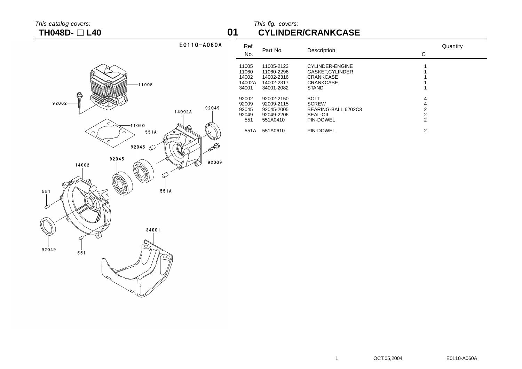### This catalog covers:  $\blacksquare$ **TH048D- L40 01 CYLINDER/CRANKCASE**

|                                                                           | <b>No</b>                                        |
|---------------------------------------------------------------------------|--------------------------------------------------|
| $-11005$                                                                  | 11005<br>11060<br>14002<br>14002<br>34001        |
| aataa(©<br>$92002 -$<br>14002A<br>$\circ$<br>$-11060$                     | 92002<br>92009<br>92049<br>92045<br>92049<br>551 |
| ≯ু∖<br>551A<br>$\circ$<br>$\circ$<br>$\circ$<br>$\circ$<br>92045<br>92045 | 551<br><b>SODDRA</b>                             |
| 14002<br>O<br>0,<br>551A<br>551                                           | 92009                                            |
| 6)<br>34001<br>ፊ                                                          |                                                  |
| 0<br>92049<br>551                                                         |                                                  |
|                                                                           |                                                  |

E0110-A060A

| Ref.<br>No.                                | Part No.                                                           | Description                                                                                | С                                               | Quantity |
|--------------------------------------------|--------------------------------------------------------------------|--------------------------------------------------------------------------------------------|-------------------------------------------------|----------|
| 11005<br>11060<br>14002<br>14002A<br>34001 | 11005-2123<br>11060-2296<br>14002-2316<br>14002-2317<br>34001-2082 | CYLINDER-ENGINE<br>GASKET.CYLINDER<br><b>CRANKCASE</b><br><b>CRANKCASE</b><br><b>STAND</b> |                                                 |          |
| 92002<br>92009<br>92045<br>92049<br>551    | 92002-2150<br>92009-2115<br>92045-2005<br>92049-2206<br>551A0410   | <b>BOLT</b><br><b>SCREW</b><br>BEARING-BALL,6202C3<br>SEAL-OIL<br>PIN-DOWEL                | 4<br>4<br>2<br>$\overline{2}$<br>$\overline{2}$ |          |
| 551A                                       | 551A0610                                                           | PIN-DOWEL                                                                                  | 2                                               |          |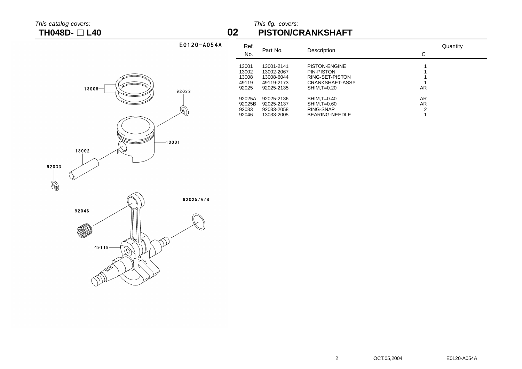### This catalog covers: This fig. covers: This fig. covers: This fig. covers: This fig. covers: This fig. covers: This fig. covers: This fig. covers: This fig. covers: This fig. covers: This fig. covers: This fig. covers: Thi **TH048D- L40 02 PISTON/CRANKSHAFT**

| E0120-A054A  | Ref.<br>No.                               | Part No.                                                           | Description                                                                                       | Quantity<br>С |
|--------------|-------------------------------------------|--------------------------------------------------------------------|---------------------------------------------------------------------------------------------------|---------------|
| 92033        | 13001<br>13002<br>13008<br>49119<br>92025 | 13001-2141<br>13002-2067<br>13008-6044<br>49119-2173<br>92025-2135 | <b>PISTON-ENGINE</b><br>PIN-PISTON<br>RING-SET-PISTON<br><b>CRANKSHAFT-ASSY</b><br>$SHIM, T=0.20$ | AR            |
| $\mathbb{R}$ | 92025A<br>92025B<br>92033<br>92046        | 92025-2136<br>92025-2137<br>92033-2058<br>13033-2005               | $SHIM, T=0.40$<br>SHIM, T=0.60<br>RING-SNAP<br><b>BEARING-NEEDLE</b>                              | AR<br>AR<br>2 |
|              |                                           |                                                                    |                                                                                                   |               |

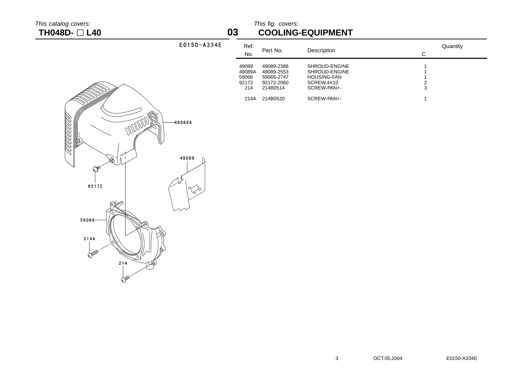<u>TAANAN TAAN TA</u>

## This catalog covers: This fig. covers: This fig. covers: This fig. covers: This fig. covers: This fig. covers: This fig. covers: This fig. covers: This fig. covers: This fig. covers: This fig. covers: This fig. covers: Thi **TH048D- L40 03 COOLING-EQUIPMENT**

|           |                     | $\check{ }$                              | ----                                                             |                                                                                   |                         |
|-----------|---------------------|------------------------------------------|------------------------------------------------------------------|-----------------------------------------------------------------------------------|-------------------------|
|           | E0150-A334E         | Ref.<br>No.                              | Part No.                                                         | Description                                                                       | Quantity<br>$\mathbf C$ |
|           |                     | 49089<br>49089A<br>59066<br>92172<br>214 | 49089-2386<br>49089-2553<br>59066-2747<br>92172-2060<br>214B0514 | SHROUD-ENGINE<br>SHROUD-ENGINE<br><b>HOUSING-FAN</b><br>SCREW,4X10<br>SCREW-PAN+- | $\frac{2}{3}$           |
|           |                     | 214A                                     | 214B0520                                                         | SCREW-PAN+-                                                                       | $\mathbf{1}$            |
| DODDDD 1. | -49089A<br>49089    |                                          |                                                                  |                                                                                   |                         |
|           | $^o\!\mathcal{O}$ o |                                          |                                                                  |                                                                                   |                         |
|           |                     |                                          |                                                                  |                                                                                   |                         |

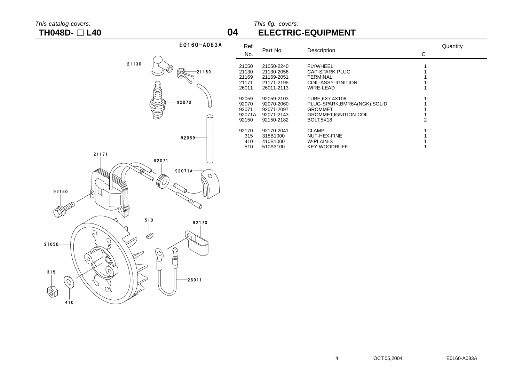## This catalog covers: This fig. covers: **TH048D- L40 04 ELECTRIC-EQUIPMENT**

| E0160-A083A                                                               | Ref.<br>No.                                |
|---------------------------------------------------------------------------|--------------------------------------------|
| 21130<br>6<br>21169                                                       | 21050<br>21130<br>21169<br>21171<br>26011  |
| 92070                                                                     | 92059<br>92070<br>92071<br>92071A<br>92150 |
| 92059-                                                                    | 92170<br>315<br>410<br>510                 |
| 21171<br>92071<br>92071A-<br>φ<br>92150                                   |                                            |
| 510<br>92170                                                              |                                            |
| 21050<br>š<br>$\overline{O}$                                              |                                            |
| 315<br>$-26011$<br>$\mathcal{O}$<br>$\mathcal{O}^{\!\!\backslash}$<br>410 |                                            |

| Ref.<br>No.                                | Part No.                                                           | Description                                                                                                      | С | Quantity |
|--------------------------------------------|--------------------------------------------------------------------|------------------------------------------------------------------------------------------------------------------|---|----------|
| 21050<br>21130<br>21169<br>21171<br>26011  | 21050-2240<br>21130-2056<br>21169-2051<br>21171-2195<br>26011-2113 | <b>FLYWHEEL</b><br>CAP-SPARK PLUG<br><b>TERMINAL</b><br>COIL-ASSY-IGNITION<br>WIRE-LEAD                          |   |          |
| 92059<br>92070<br>92071<br>92071A<br>92150 | 92059-2103<br>92070-2060<br>92071-2097<br>92071-2143<br>92150-2182 | TUBE.6X7.4X108<br>PLUG-SPARK, BMR6A (NGK), SOLID<br><b>GROMMET</b><br><b>GROMMET, IGNITION COIL</b><br>BOLT.5X18 | 2 |          |
| 92170<br>315<br>410<br>510                 | 92170-2041<br>315B1000<br>410B1000<br>510A3100                     | <b>CLAMP</b><br>NUT-HEX-FINE<br>W-PLAIN-S<br><b>KEY-WOODRUFF</b>                                                 |   |          |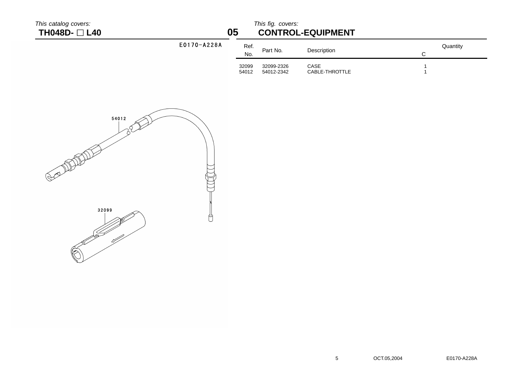| This catalog covers:<br>TH048D- □ L40 |             | 05             | This fig. covers:        | <b>CONTROL-EQUIPMENT</b> |               |
|---------------------------------------|-------------|----------------|--------------------------|--------------------------|---------------|
|                                       | E0170-A228A | Ref.<br>No.    | Part No.                 | Description              | Quantity<br>C |
|                                       |             | 32099<br>54012 | 32099-2326<br>54012-2342 | CASE<br>CABLE-THROTTLE   |               |
|                                       | 54012       |                |                          |                          |               |

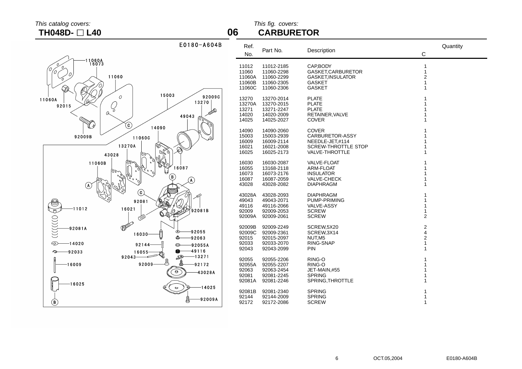## This catalog covers: This fig. covers: **TH048D- L40 06 CARBURETOR**



| Ref.<br>No. | Part No.   | Description                | C                | Quantity |
|-------------|------------|----------------------------|------------------|----------|
| 11012       | 11012-2185 | CAP, BODY                  | 1                |          |
| 11060       | 11060-2298 | GASKET, CARBURETOR         | 1                |          |
| 11060A      | 11060-2299 | GASKET, INSULATOR          | $\overline{2}$   |          |
| 11060B      | 11060-2305 | GASKET                     | 1                |          |
| 11060C      | 11060-2306 | <b>GASKET</b>              | 1                |          |
| 13270       | 13270-2014 | PLATE                      | 1                |          |
| 13270A      | 13270-2015 | <b>PLATE</b>               | 1                |          |
| 13271       | 13271-2247 | <b>PLATE</b>               | 1                |          |
| 14020       | 14020-2009 | RETAINER, VALVE            | 1                |          |
| 14025       | 14025-2027 | COVER                      | 1                |          |
| 14090       | 14090-2060 | <b>COVER</b>               | 1                |          |
| 15003       | 15003-2939 | CARBURETOR-ASSY            | 1                |          |
| 16009       | 16009-2114 | NEEDLE-JET,#114            | 1                |          |
| 16021       | 16021-2008 | <b>SCREW-THROTTLE STOP</b> | 1                |          |
| 16025       | 16025-2173 | VALVE-THROTTLE             | 1                |          |
| 16030       | 16030-2087 | <b>VALVE-FLOAT</b>         | 1                |          |
| 16055       | 13168-2118 | <b>ARM-FLOAT</b>           | 1                |          |
| 16073       | 16073-2176 | <b>INSULATOR</b>           | 1                |          |
| 16087       | 16087-2059 | <b>VALVE-CHECK</b>         | 1                |          |
| 43028       | 43028-2082 | <b>DIAPHRAGM</b>           | 1                |          |
| 43028A      | 43028-2093 | <b>DIAPHRAGM</b>           | 1                |          |
| 49043       | 49043-2071 | PUMP-PRIMING               | 1                |          |
| 49116       | 49116-2066 | <b>VALVE-ASSY</b>          | 1                |          |
| 92009       | 92009-2053 | <b>SCREW</b>               | 1                |          |
| 92009A      | 92009-2061 | <b>SCREW</b>               | $\overline{2}$   |          |
| 92009B      | 92009-2249 | SCREW,5X20                 | $\boldsymbol{2}$ |          |
| 92009C      | 92009-2361 | SCREW, 3X14                | $\overline{4}$   |          |
| 92015       | 92015-2097 | NUT.M5                     | $\overline{c}$   |          |
| 92033       | 92033-2070 | RING-SNAP                  | 1                |          |
| 92043       | 92043-2099 | <b>PIN</b>                 | 1                |          |
| 92055       | 92055-2206 | RING-O                     | 1                |          |
| 92055A      | 92055-2207 | RING-O                     | 1                |          |
| 92063       | 92063-2454 | JET-MAIN,#55               | 1                |          |
| 92081       | 92081-2245 | <b>SPRING</b>              | 1                |          |
| 92081A      | 92081-2246 | SPRING, THROTTLE           | 1                |          |
| 92081B      | 92081-2340 | <b>SPRING</b>              | 1                |          |
| 92144       | 92144-2009 | <b>SPRING</b>              | 1                |          |
| 92172       | 92172-2086 | <b>SCREW</b>               | 1                |          |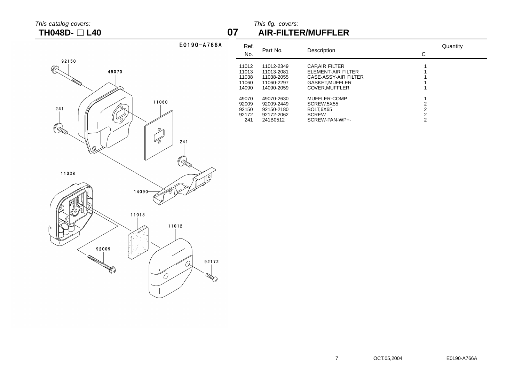## $\frac{1}{2}$  This catalog covers:  $\frac{1}{2}$  This fig. covers:  $\frac{1}{2}$  This fig. covers:  $\frac{1}{2}$  TH048D-  $\Box$  L40 **TH048D- L40 07 AIR-FILTER/MUFFLER**



| Ref.<br>No.                                                          | Part No.                                                                                                     | Description                                                                                                                                       | Quantity<br>С |
|----------------------------------------------------------------------|--------------------------------------------------------------------------------------------------------------|---------------------------------------------------------------------------------------------------------------------------------------------------|---------------|
| 11012<br>11013<br>11038<br>11060<br>14090<br>49070<br>92009<br>92150 | 11012-2349<br>11013-2081<br>11038-2055<br>11060-2297<br>14090-2059<br>49070-2630<br>92009-2449<br>92150-2180 | <b>CAPAIR FILTER</b><br>ELEMENT-AIR FILTER<br>CASE-ASSY-AIR FILTER<br>GASKET, MUFFLER<br>COVER.MUFFLER<br>MUFFLER-COMP<br>SCREW.5X55<br>BOLT.6X65 | 2<br>2        |
| 92172<br>241                                                         | 92172-2062<br>241B0512                                                                                       | <b>SCREW</b><br>SCREW-PAN-WP+-                                                                                                                    | 2<br>2        |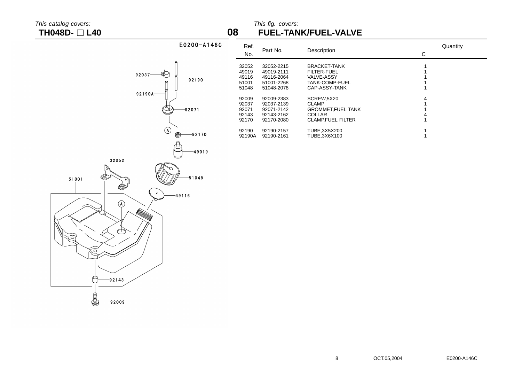# This catalog covers:<br>
TH048D-  $\Box$  L40 **COVERS** LAD **COVERS** This fig. covers: **TH048D- L40 08 FUEL-TANK/FUEL-VALVE**

| E0200-A146C                                                                     | Ref.<br>No.                               | Part No.                                                           | Description                                                                             | $\mathbf C$ | Quantity |
|---------------------------------------------------------------------------------|-------------------------------------------|--------------------------------------------------------------------|-----------------------------------------------------------------------------------------|-------------|----------|
| €<br>92037-<br>-92190                                                           | 32052<br>49019<br>49116<br>51001<br>51048 | 32052-2215<br>49019-2111<br>49116-2064<br>51001-2268<br>51048-2078 | BRACKET-TANK<br>FILTER-FUEL<br>VALVE-ASSY<br>TANK-COMP-FUEL<br>CAP-ASSY-TANK            |             |          |
| 92190A-<br>رقی.<br>ح<br>-92071                                                  | 92009<br>92037<br>92071<br>92143<br>92170 | 92009-2383<br>92037-2139<br>92071-2142<br>92143-2162<br>92170-2080 | SCREW,5X20<br><b>CLAMP</b><br>GROMMET, FUEL TANK<br><b>COLLAR</b><br>CLAMP, FUEL FILTER |             |          |
| $\circledast$<br>-92170<br>⊜<br>-49019                                          | 92190<br>92190A                           | 92190-2157<br>92190-2161                                           | TUBE, 3X5X200<br>TUBE, 3X6X100                                                          |             |          |
| 32052<br>Ø<br>$-51048$<br>51001<br>❤<br>$\beta$<br>$-49116$<br>$\odot$<br><br>6 |                                           |                                                                    |                                                                                         |             |          |
| P<br>-92143<br>8<br>-92009                                                      |                                           |                                                                    |                                                                                         |             |          |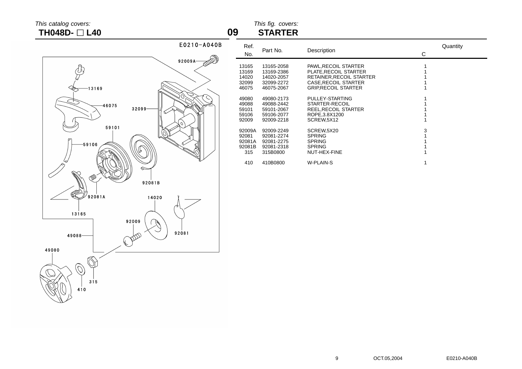# **TH048D-** □ **L40 09**

# This catalog covers: This fig. covers:



| Ref.<br>No.                                | Part No.                                                           | Description                                                                                                                           | Quantity<br>С |  |
|--------------------------------------------|--------------------------------------------------------------------|---------------------------------------------------------------------------------------------------------------------------------------|---------------|--|
| 13165<br>13169<br>14020<br>32099<br>46075  | 13165-2058<br>13169-2386<br>14020-2057<br>32099-2272<br>46075-2067 | PAWL, RECOIL STARTER<br>PLATE.RECOIL STARTER<br>RETAINER, RECOIL STARTER<br><b>CASE.RECOIL STARTER</b><br><b>GRIP, RECOIL STARTER</b> |               |  |
| 49080<br>49088<br>59101<br>59106<br>92009  | 49080-2173<br>49088-2442<br>59101-2067<br>59106-2077<br>92009-2218 | PULLEY-STARTING<br>STARTER-RECOIL<br>REEL, RECOIL STARTER<br>ROPE.3.8X1200<br>SCREW,5X12                                              |               |  |
| 92009A<br>92081<br>92081A<br>92081B<br>315 | 92009-2249<br>92081-2274<br>92081-2275<br>92081-2318<br>315B0800   | SCREW,5X20<br><b>SPRING</b><br><b>SPRING</b><br><b>SPRING</b><br>NUT-HEX-FINE                                                         | 3             |  |
| 410                                        | 410B0800                                                           | W-PLAIN-S                                                                                                                             |               |  |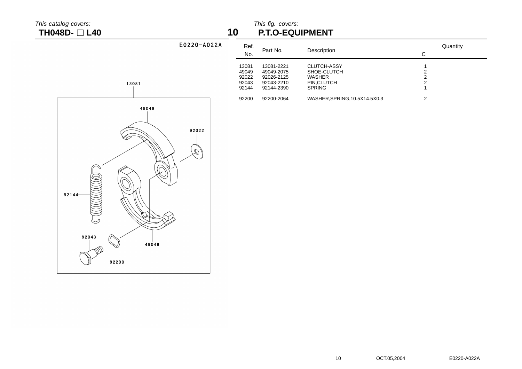## This catalog covers: This fig. covers: This fig. covers: This fig. covers: This fig. covers: This fig. covers: This fig. covers: This fig. covers: This fig. covers: This fig. covers: This fig. covers: This fig. covers: Thi **TH048D- L40 10 P.T.O-EQUIPMENT**

| $E0220 - A022A$ | Ref.<br>No.                               | Part No.                                                           | Description                                                                        | Quantity<br>C |
|-----------------|-------------------------------------------|--------------------------------------------------------------------|------------------------------------------------------------------------------------|---------------|
|                 | 13081<br>49049<br>92022<br>92043<br>92144 | 13081-2221<br>49049-2075<br>92026-2125<br>92043-2210<br>92144-2390 | <b>CLUTCH-ASSY</b><br>SHOE-CLUTCH<br><b>WASHER</b><br>PIN, CLUTCH<br><b>SPRING</b> | ◠<br>2        |
|                 | 92200                                     | 92200-2064                                                         | WASHER, SPRING, 10.5X14.5X0.3                                                      | 2             |

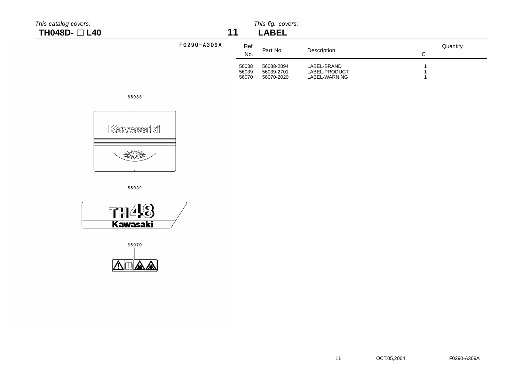|  | This catalog covers: |  |
|--|----------------------|--|
|--|----------------------|--|

**TH048D-** □ **L40** 

# This fig. covers:<br>11 **ARFI**

|             |                         | ᄂᇊᆸᄂᄂ                                  |                                               |               |
|-------------|-------------------------|----------------------------------------|-----------------------------------------------|---------------|
| F0290-A309A | Ref.<br>No.             | Part No.                               | Description                                   | Quantity<br>С |
|             | 56038<br>56039<br>56070 | 56038-2894<br>56039-2701<br>56070-2020 | LABEL-BRAND<br>LABEL-PRODUCT<br>LABEL-WARNING |               |





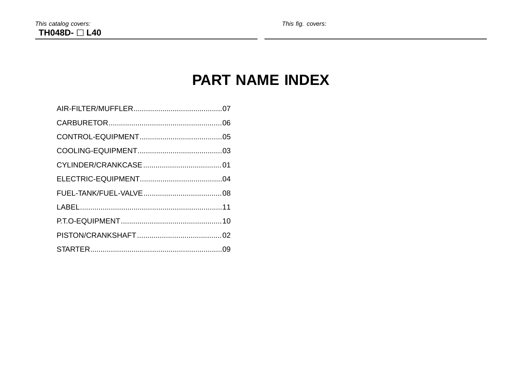# **PART NAME INDEX**